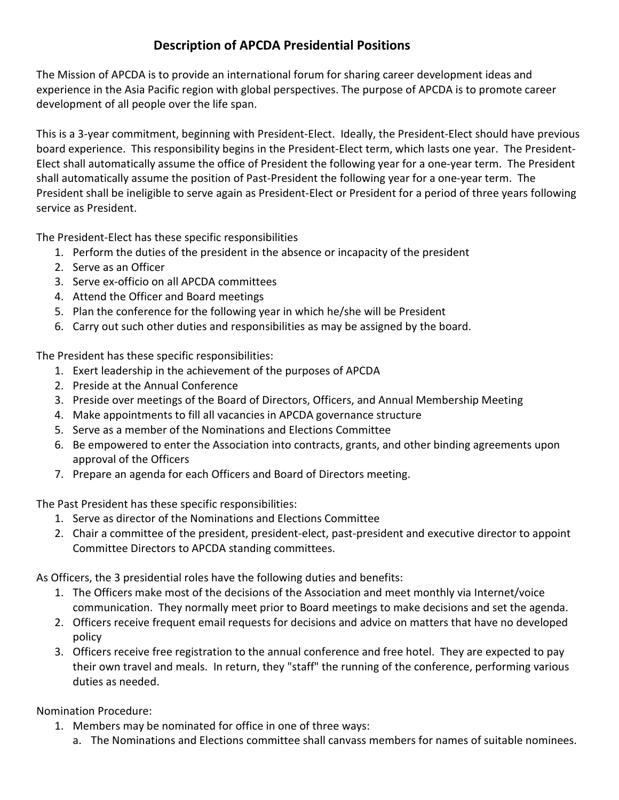## **Description of APCDA Presidential Positions**

The Mission of APCDA is to provide an international forum for sharing career development ideas and experience in the Asia Pacific region with global perspectives. The purpose of APCDA is to promote career development of all people over the life span.

This is a 3-year commitment, beginning with President-Elect. Ideally, the President-Elect should have previous board experience. This responsibility begins in the President-Elect term, which lasts one year. The President-Elect shall automatically assume the office of President the following year for a one-year term. The President shall automatically assume the position of Past-President the following year for a one-year term. The President shall be ineligible to serve again as President-Elect or President for a period of three years following service as President.

The President-Elect has these specific responsibilities

- 1. Perform the duties of the president in the absence or incapacity of the president
- 2. Serve as an Officer
- 3. Serve ex-officio on all APCDA committees
- 4. Attend the Officer and Board meetings
- 5. Plan the conference for the following year in which he/she will be President
- 6. Carry out such other duties and responsibilities as may be assigned by the board.

The President has these specific responsibilities:

- 1. Exert leadership in the achievement of the purposes of APCDA
- 2. Preside at the Annual Conference
- 3. Preside over meetings of the Board of Directors, Officers, and Annual Membership Meeting
- 4. Make appointments to fill all vacancies in APCDA governance structure
- 5. Serve as a member of the Nominations and Elections Committee
- 6. Be empowered to enter the Association into contracts, grants, and other binding agreements upon approval of the Officers
- 7. Prepare an agenda for each Officers and Board of Directors meeting.

The Past President has these specific responsibilities:

- 1. Serve as director of the Nominations and Elections Committee
- 2. Chair a committee of the president, president-elect, past-president and executive director to appoint Committee Directors to APCDA standing committees.

As Officers, the 3 presidential roles have the following duties and benefits:

- 1. The Officers make most of the decisions of the Association and meet monthly via Internet/voice communication. They normally meet prior to Board meetings to make decisions and set the agenda.
- 2. Officers receive frequent email requests for decisions and advice on matters that have no developed policy
- 3. Officers receive free registration to the annual conference and free hotel. They are expected to pay their own travel and meals. In return, they "staff" the running of the conference, performing various duties as needed.

Nomination Procedure:

- 1. Members may be nominated for office in one of three ways:
	- a. The Nominations and Elections committee shall canvass members for names of suitable nominees.